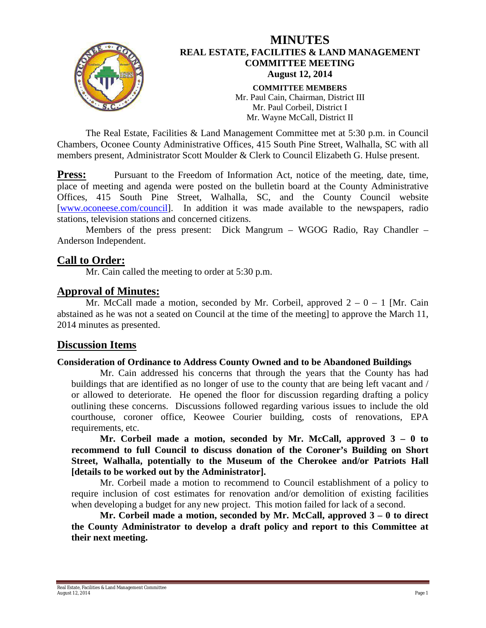

The Real Estate, Facilities & Land Management Committee met at 5:30 p.m. in Council Chambers, Oconee County Administrative Offices, 415 South Pine Street, Walhalla, SC with all members present, Administrator Scott Moulder & Clerk to Council Elizabeth G. Hulse present.

**Press:** Pursuant to the Freedom of Information Act, notice of the meeting, date, time, place of meeting and agenda were posted on the bulletin board at the County Administrative Offices, 415 South Pine Street, Walhalla, SC, and the County Council website [\[www.oconeese.com/council\]](http://www.oconeese.com/council). In addition it was made available to the newspapers, radio stations, television stations and concerned citizens.

Members of the press present: Dick Mangrum – WGOG Radio, Ray Chandler – Anderson Independent.

## **Call to Order:**

Mr. Cain called the meeting to order at 5:30 p.m.

## **Approval of Minutes:**

Mr. McCall made a motion, seconded by Mr. Corbeil, approved  $2 - 0 - 1$  [Mr. Cain abstained as he was not a seated on Council at the time of the meeting] to approve the March 11, 2014 minutes as presented.

# **Discussion Items**

#### **Consideration of Ordinance to Address County Owned and to be Abandoned Buildings**

Mr. Cain addressed his concerns that through the years that the County has had buildings that are identified as no longer of use to the county that are being left vacant and / or allowed to deteriorate. He opened the floor for discussion regarding drafting a policy outlining these concerns. Discussions followed regarding various issues to include the old courthouse, coroner office, Keowee Courier building, costs of renovations, EPA requirements, etc.

**Mr. Corbeil made a motion, seconded by Mr. McCall, approved 3 – 0 to recommend to full Council to discuss donation of the Coroner's Building on Short Street, Walhalla, potentially to the Museum of the Cherokee and/or Patriots Hall [details to be worked out by the Administrator].**

Mr. Corbeil made a motion to recommend to Council establishment of a policy to require inclusion of cost estimates for renovation and/or demolition of existing facilities when developing a budget for any new project. This motion failed for lack of a second.

**Mr. Corbeil made a motion, seconded by Mr. McCall, approved 3 – 0 to direct the County Administrator to develop a draft policy and report to this Committee at their next meeting.**